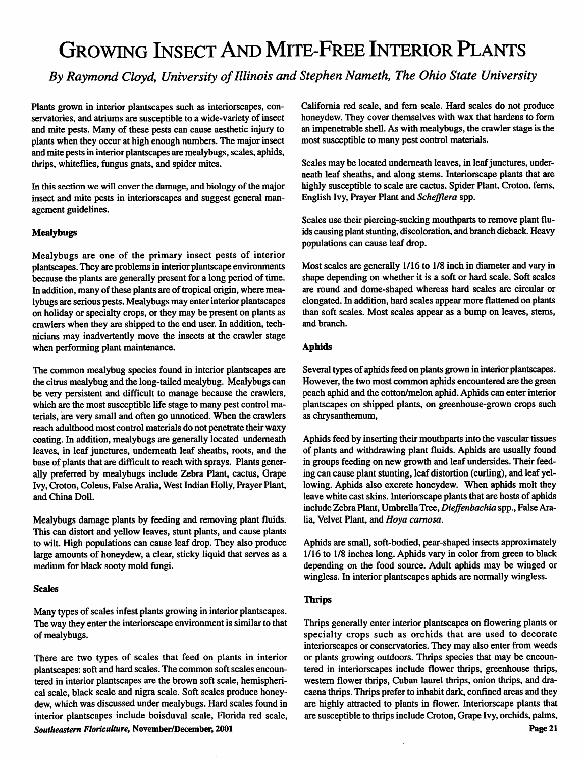# Growing Insect And Mite-Free Interior Plants

*By RaymondCloyd, University ofIllinois and Stephen Nameth, The Ohio State University*

Plants grown in interior plantscapes such as interiorscapes, con servatories, and atriums are susceptible to a wide-variety of insect and mite pests. Many of these pests can cause aesthetic injury to plants when they occur at high enough numbers. The major insect and mite pests in interior plantscapes are mealybugs, scales, aphids, thrips, whiteflies, fungus gnats, and spider mites.

In this section we will cover the damage, and biology of the major insect and mite pests in interiorscapes and suggest general man agement guidelines.

#### *Mealybugs*

Mealybugs are one of the primary insect pests of interior plantscapes. They are problems in interior plantscape environments because the plants are generally present for a long period of time. In addition, many of these plants are of tropical origin, where mealybugs are serious pests. Mealybugs may enter interior plantscapes on holiday or specialty crops, or they may be present on plants as crawlers when they are shipped to the end user. In addition, tech nicians may inadvertently move the insects at the crawler stage when performing plant maintenance.

The common mealybug species found in interior plantscapes are the citrus mealybug and the long-tailed mealybug. Mealybugs can be very persistent and difficult to manage because the crawlers, which are the most susceptible life stage to many pest control ma terials, are very small and often go unnoticed. When the crawlers reach adulthood most control materials do not penetrate their waxy coating. In addition, mealybugs are generally located underneath leaves, in leaf junctures, underneath leaf sheaths, roots, and the base of plants that are difficult to reach with sprays. Plants gener ally preferred by mealybugs include Zebra Plant, cactus, Grape Ivy,Croton, Coleus, False Aralia, West Indian Holly, Prayer Plant, and China Doll.

Mealybugs damage plants by feeding and removing plant fluids. This can distort and yellow leaves, stunt plants, and cause plants to wilt. High populations can cause leaf drop. They also produce large amounts of honeydew, a clear, sticky liquid that serves as a medium for black sooty mold fungi.

#### *Scales*

Many types of scales infest plants growing in interior plantscapes. The way they enter the interiorscape environment is similar to that of mealybugs.

There are two types of scales that feed on plants in interior plantscapes: soft and hard scales. The common soft scales encountered in interior plantscapes are the brown soft scale, hemispheri cal scale, black scale and nigra scale. Soft scales produce honey dew, which was discussed under mealybugs. Hard scales found in interior plantscapes include boisduval scale, Florida red scale, **Southeastern Floriculture,** November/December, *2001*

California red scale, and fern scale. Hard scales do not produce honeydew. They cover themselves with wax that hardens to form an impenetrable shell. As with mealybugs, the crawler stage is the most susceptible to many pest control materials.

Scales may be located underneath leaves, in leaf junctures, underneath leaf sheaths, and along stems. Interiorscape plants that are highly susceptible to scale are cactus, Spider Plant, Croton, ferns, English Ivy, Prayer Plant and **Schefflera** spp.

Scales use their piercing-sucking mouthparts to remove plant flu ids causing plant stunting, discoloration, and branch dieback. Heavy populations can cause leaf drop.

Most scales are generally 1/16 to 1/8 inch in diameter and vary in shape depending on whether it is a soft or hard scale. Soft scales are round and dome-shaped whereas hard scales are circular or elongated. In addition, hard scales appear more flattened on plants than soft scales. Most scales appear as a bump on leaves, stems, and branch.

### *Aphids*

Several types of aphids feed on plants grown in interior plantscapes. However, the two most common aphids encountered are the green peach aphid and the cotton/melon aphid. Aphids can enter interior plantscapes on shipped plants, on greenhouse-grown crops such as chrysanthemum,

Aphids feed by inserting their mouthparts into the vascular tissues of plants and withdrawing plant fluids. Aphids are usually found in groups feeding on new growth and leaf undersides. Their feed ing can cause plant stunting, leaf distortion (curling), and leaf yel lowing. Aphids also excrete honeydew. When aphids molt they leave white cast skins. Interiorscape plants that are hosts of aphids include Zebra Plant, Umbrella Tree, Dieffenbachia spp., False Aralia, Velvet Plant, and **Hoya carnosa.**

Aphids are small, soft-bodied, pear-shaped insects approximately 1/16 to 1/8 inches long. Aphids vary in color from green to black depending on the food source. Adult aphids may be winged or wingless. In interior plantscapes aphids are normally wingless.

#### *Thrips*

Thrips generally enter interior plantscapes on flowering plants or specialty crops such as orchids that are used to decorate interiorscapes or conservatories. They may also enter from weeds or plants growing outdoors. Thrips species that may be encoun tered in interiorscapes include flower thrips, greenhouse thrips, western flower thrips, Cuban laurel thrips, onion thrips, and dracaena thrips.Thrips prefer to inhabit dark, confined areas and they are highly attracted to plants in flower. Interiorscape plants that are susceptible to thrips include Croton, Grape Ivy, orchids, palms,